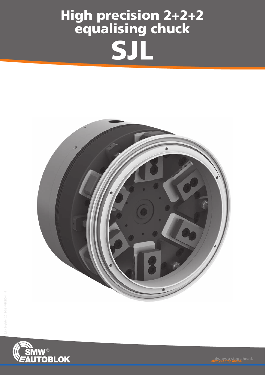## High precision 2+2+2 equalising chuck SJL



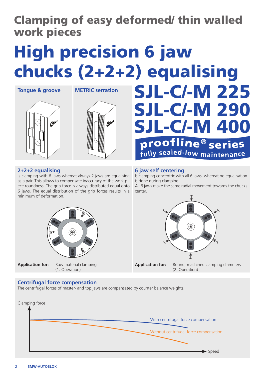## Clamping of easy deformed/ thin walled work pieces

# High precision 6 jaw chucks (2+2+2) equalising

A



#### **2+2+2 equalising**

Is clamping with 6 jaws whereat always 2 jaws are equalising as a pair. This allows to compensate inaccuracy of the work piece roundness. The grip force is always distributed equal onto 6 jaws. The equal distribution of the grip forces results in a minimum of deformation.



**Application for:** Raw material clamping (1. Operation)

#### **Centrifugal force compensation**

The centrifugal forces of master- and top jaws are compensated by counter balance weights.



**6 jaw self centering**

Is clamping concentric with all 6 jaws, whereat no equalisation is done during clamping.

SJL-C/-M 225

SJL-C/-M 290

SJL-C/-M 400<br>
proofline® series

All 6 jaws make the same radial movement towards the chucks center.



**Application for:** Round, machined clamping diameters (2. Operation)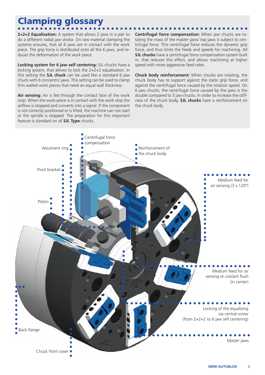## Clamping glossary

**2+2+2 Equalisation:** A system that allows 2 jaws in a pair to do a different radial jaw stroke. On raw material clamping the systems ensures, that all 6 jaws are in contact with the work piece. The grip force is distributed onto all the 6 jaws, and reduces the deformation of the work piece.

**Locking system for 6 jaw self centering:** SJL chucks have a locking system, that allows to lock the 2+2+2 equalisation. In this setting the **SJL chuck** can be used like a standard 6 jaw chuck with 6 concentric jaws. This setting can be used to clamp thin walled work pieces that need an equal wall thickness.

 **Air sensing:** Air is fed through the contact face of the work stop. When the work-piece is in contact with the work stop the airflow is stopped and converts into a signal. If the component is not correctly positioned or is lifted, the machine can not start or the spindle is stopped. The preparation for this important feature is standard on all **SJL Type** chucks.

**Centrifugal force compensation:** When jaw chucks are rotating the mass of the master jaws/ top jaws is subject to centrifugal force. This centrifugal force reduces the dynamic grip force, and thus limits the feeds and speeds for machining. All **SJL chucks** have a centrifugal force compensation system built in, that reduces this effect, and allows machining at higher speed with more aggressive feed rates.

**Chuck body reinforcement:** When chucks are rotating, the chuck body has to support against the static grip force, and against the centrifugal force caused by the rotation speed. On 6 jaw chucks, the centrifugal force caused by the jaws is the double compared to 3 jaw chucks. In order to increase the stiffness of the chuck body, **SJL chucks** have a reinforcement on the chuck body.

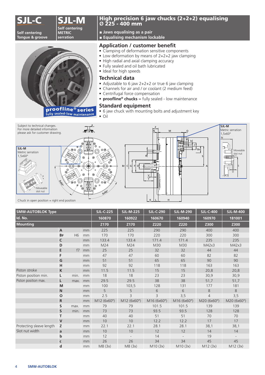## JJ **E** M

**Self centering Tongue & groove**





proofline<sup>®</sup> series

#### High precision 6 jaw chucks (2+2+2) equalising **Ø** 225 - 400 mm

- **Jaws equalising as a pair**
- **Equalising mechanism lockable**

#### Application / customer benefit

- Clamping of deformation sensitive components
- Low deformation by means of 2+2+2 jaw clamping
- High radial and axial clamping accuracy
- Fully sealed and oil bath lubricated
- Ideal for high speeds

#### **Technical data**

- Adjustable to 6 jaw 2+2+2 or true 6 jaw clamping
- Channels for air and / or coolant (2 medium feed)
- Centrifugal force compensation • **proofline<sup>®</sup> chucks** = fully sealed - low maintenance

### **Standard equipment**

• 6 jaw chuck with mounting bolts and adjustment key

• Oil



| <b>SMW-AUTOBLOK Type</b> |                |                |      | <b>SJL-C-225</b> | <b>SJL-M-225</b> | <b>SJL-C-290</b> | <b>SJL-M-290</b> | <b>SJL-C-400</b> | <b>SJL-M-400</b> |
|--------------------------|----------------|----------------|------|------------------|------------------|------------------|------------------|------------------|------------------|
| Id. No.                  |                |                |      | 160870           | 160922           | 160670           | 160940           | 160970           | 181001           |
| <b>Mounting</b>          |                |                | Z170 | Z170             | <b>Z220</b>      | Z220             | Z300             | <b>Z300</b>      |                  |
|                          | $\overline{A}$ |                | mm   | 225              | 225              | 290              | 290              | 400              | 400              |
|                          | <b>BF</b>      | H <sub>6</sub> | mm   | 170              | 170              | 220              | 220              | 300              | 300              |
|                          | $\mathsf{C}$   |                | mm   | 133.4            | 133.4            | 171.4            | 171.4            | 235              | 235              |
|                          | D              |                | mm   | M24              | M24              | M30              | M30              | M42x3            | M42x3            |
|                          | E              | f7             | mm   | 25               | 25               | 32               | 32               | 44               | 44               |
|                          | F              |                | mm   | 47               | 47               | 60               | 60               | 82               | 82               |
|                          | G              |                | mm   | 51               | 51               | 65               | 65               | 90               | 90               |
|                          | н              |                | mm   | 92               | 92               | 118              | 118              | 163              | 163              |
| Piston stroke            | $\mathsf K$    |                | mm   | 11.5             | 11.5             | 15               | 15               | 20,8             | 20,8             |
| Piston position min.     | L              | min.           | mm   | 18               | 18               | 23               | 23               | 30,9             | 30,9             |
| Piston position max.     | L              | max.           | mm   | 29.5             | 29.5             | 38               | 38               | 51,7             | 51,7             |
|                          | M              |                | mm   | 100              | 103,5            | 128              | 131              | 177              | 181              |
|                          | $\mathsf{N}$   |                | mm   | 5                | 5                | 6                | 6                | $\,8\,$          | 8                |
|                          | $\mathbf{o}$   |                | mm   | 2.5              | $\overline{3}$   | 3                | 3,5              | $\overline{4}$   | 3,5              |
|                          | $\mathsf{R}$   |                | mm   | M12 (6x60°)      | M12 (6x60°)      | M16 (6x60°)      | M16 (6x60°)      | M20 (6x60°)      | M20 (6x60°)      |
|                          | S              | max.           | mm   | 79               | 79               | 101.5            | 101.5            | 139              | 139              |
|                          | $\mathsf S$    | min.           | mm   | 73               | 73               | 93.5             | 93.5             | 128              | 128              |
|                          | т              |                | mm   | 40               | 40               | 51               | 51               | 70               | 70               |
|                          | $\mathsf{V}$   |                | mm   | 10               | 10               | 12.2             | 12.2             | 17               | 17               |
| Protecting sleeve length | z              |                | mm   | 22.1             | 22.1             | 28.1             | 28.1             | 38,1             | 38,1             |
| Slot nut width           | a              |                | mm   | 10               | 10               | 12               | 12               | 14               | 14               |
|                          | $\mathbf b$    |                | mm   | 12               |                  | 14               |                  | 19               |                  |
|                          | $\mathsf{C}$   |                | mm   | 26               | 26               | 34               | 34               | 45               | 45               |
|                          | $\mathbf d$    |                | mm   | M8(3x)           | M8 (3x)          | M10(3x)          | M10(3x)          | M12(3x)          | M12(3x)          |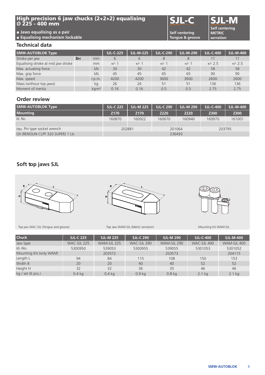#### High precision 6 jaw chucks (2+2+2) equalising **Ø** 225 - 400 mm

## SJL-C SJL

**Self centering Tongue & groove**

**Self centering METRIC serration**

#### **Technical data**

**■ Jaws equalising as a pair ■ Equalising mechanism lockable**

| <b>SMW-AUTOBLOK Type</b>            |           | <b>SJL-C-225</b>           | <b>SJL-M-225</b> | <b>SJL-C-290</b> | <b>SJL-M-290</b> | <b>SJL-C-400</b> | <b>SJL-M-400</b> |           |
|-------------------------------------|-----------|----------------------------|------------------|------------------|------------------|------------------|------------------|-----------|
| Stroke per jaw                      | <b>BH</b> | mm                         | 6                | 6                | 8                | 8                |                  |           |
| Equalising stroke at mid jaw stroke |           | mm                         | $+/-1$           | $+/-1$           | $+/-1$           | $+/-1$           | $+/- 2.5$        | $+/- 2.5$ |
| Max. actuating force                |           | kN                         | 30               | 30               | 42               | 42               | 58               | 58        |
| Max. grip force                     |           | kN                         | 45               | 45               | 65               | 65               | 90               | 90        |
| Max. speed                          |           | r.p.m.                     | 4200             | 4200             | 3600             | 3600             | 2600             | 2600      |
| Mass (without top jaws)             |           | kg                         | 26               | 26               | 51               | 51               | 136              | 136       |
| Moment of inertia                   |           | $\text{ka}\cdot\text{m}^2$ | 0.16             | 0.16             | 0.5              | 0.5              | 2.75             | 2.75      |

#### **Order review**

| <b>SMW-AUTOBLOK Type</b>            | <b>SJL-C 225</b> | <b>SJL-M 225</b> | <b>SJL-C 290</b> | <b>SJL-M 290</b> | <b>SJL-C-400</b> | <b>SJL-M-400</b> |  |
|-------------------------------------|------------------|------------------|------------------|------------------|------------------|------------------|--|
| <b>Mounting</b>                     | Z <sub>170</sub> | Z170             | Z220             | Z220             | Z300             | Z300             |  |
| Id. No.                             | 160870           | 160922           | 160670           | 160940           | 160970           | 161001           |  |
|                                     |                  |                  |                  |                  |                  |                  |  |
| Hex. Pin type socket wrench         | 202881           |                  | 201064           |                  | 203795           |                  |  |
| Oil (RENOLIN CLPF 320 SUPER) 1 Ltr. | 236493           |                  |                  |                  |                  |                  |  |

#### **Soft top jaws SJL**







 $\bigoplus$ 

Top jaw WAC-SJL (Tongue and groove) Top Jaw WAM-SJL (Metric serration) Mounting Kit WAM-SJL

| <b>Chuck</b>            | <b>SJL-C 225</b> | <b>SJL-M 225</b> | <b>SJL-C 290</b>  | <b>SJL-M 290</b>  | <b>SJL-C-400</b> | <b>SJL-M-400</b> |
|-------------------------|------------------|------------------|-------------------|-------------------|------------------|------------------|
| Jaw type                | WAC-SJL 225      | WAM-SJL 225      | WAC-SJL 290       | WAM-SJL 290       | WAC-SJL 400      | WAM-SJL 400      |
| Id.-No.                 | 5300950          | 539053           | 5300955           | 539055            | 5301053          | 5301052          |
| Mounting Kit (only WAM) |                  | 203572           |                   | 203573            |                  | 204115           |
| Length L                | 94               | 84               | 115               | 108               | 150              | 153              |
| Width B                 | 20               | 20               | 40                | 40                | 52               | 52               |
| Height H                | 32               | 32               | 36                | 35                | 46               | 46               |
| kg / set (6 pcs.)       | $0.4$ kg         | $0.4$ kg         | 0.9 <sub>kq</sub> | 0.8 <sub>kq</sub> | $2.1$ kg         | $2.1$ kg         |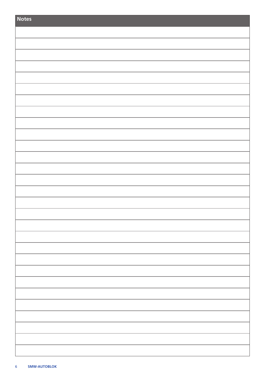| Notes |
|-------|
|       |
|       |
|       |
|       |
|       |
|       |
|       |
|       |
|       |
|       |
|       |
|       |
|       |
|       |
|       |
|       |
|       |
|       |
|       |
|       |
|       |
|       |
|       |
|       |
|       |
|       |
|       |
|       |
|       |